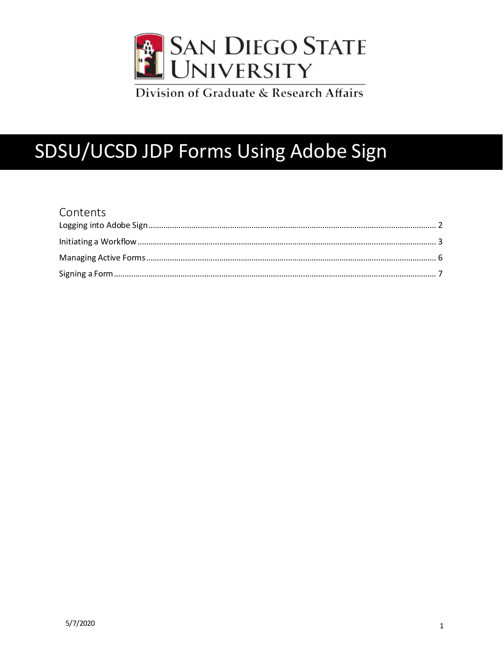

Division of Graduate & Research Affairs

# SDSU/UCSD JDP Forms Using Adobe Sign

| Contents |  |
|----------|--|
|          |  |
|          |  |
|          |  |
|          |  |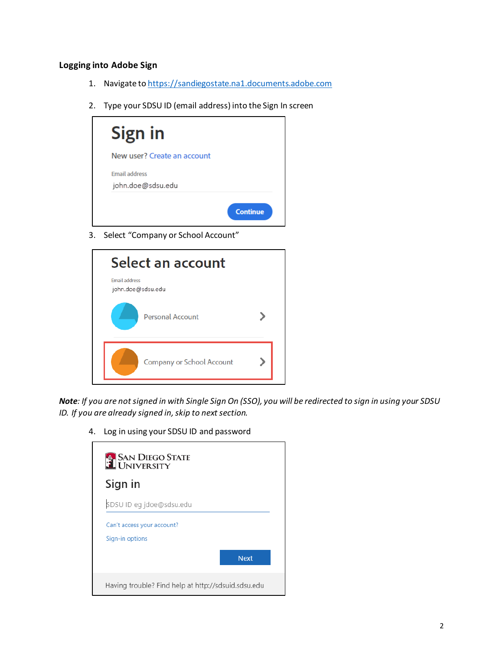## <span id="page-1-0"></span>**Logging into Adobe Sign**

- 1. Navigate t[o https://sandiegostate.na1.documents.adobe.com](https://sandiegostate.na1.documents.adobe.com/)
- 2. Type your SDSU ID (email address) into the Sign In screen



3. Select "Company or School Account"

| Select an account                         |  |
|-------------------------------------------|--|
| <b>Email address</b><br>john.doe@sdsu.edu |  |
| <b>Personal Account</b>                   |  |
| <b>Company or School Account</b>          |  |

*Note: If you are not signed in with Single Sign On (SSO), you will be redirected to sign in using your SDSU ID. If you are already signed in, skip to next section.*

4. Log in using your SDSU ID and password

| <b>EN SAN DIEGO STATE</b>                           |             |
|-----------------------------------------------------|-------------|
| Sign in                                             |             |
| SDSU ID eg jdoe@sdsu.edu                            |             |
| Can't access your account?<br>Sign-in options       |             |
|                                                     | <b>Next</b> |
| Having trouble? Find help at http://sdsuid.sdsu.edu |             |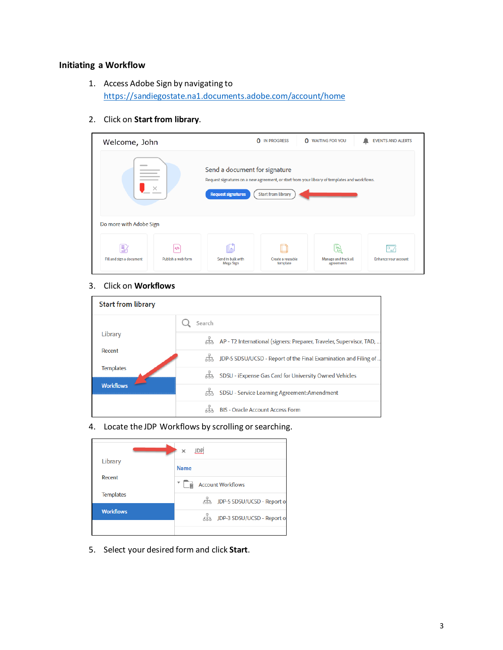## <span id="page-2-0"></span>**Initiating a Workflow**

- 1. Access Adobe Sign by navigating to <https://sandiegostate.na1.documents.adobe.com/account/home>
- 2. Click on **Start from library**.

| Welcome, John                                            |                                    |                                                                                                                                                             | <b>IN PROGRESS</b><br>0<br>o  | <b>WAITING FOR YOU</b>                  | <b>EVENTS AND ALERTS</b>                       |
|----------------------------------------------------------|------------------------------------|-------------------------------------------------------------------------------------------------------------------------------------------------------------|-------------------------------|-----------------------------------------|------------------------------------------------|
| __                                                       |                                    | Send a document for signature<br>Request signatures on a new agreement, or start from your library of templates and workflows.<br><b>Request signatures</b> | <b>Start from library</b>     |                                         |                                                |
| Do more with Adobe Sign<br>틦<br>Fill and sign a document | $\langle$ /><br>Publish a web form | Send in bulk with<br>Mega Sign                                                                                                                              | Create a reusable<br>template | ⋐<br>Manage and track all<br>agreements | $\overline{P_{\star}}$<br>Enhance your account |

#### 3. Click on **Workflows**

| <b>Start from library</b> |                                                                        |
|---------------------------|------------------------------------------------------------------------|
|                           | Search                                                                 |
| Library                   | 品 AP - T2 International (signers: Preparer, Traveler, Supervisor, TAD, |
| Recent                    | 品 JDP-5 SDSU/UCSD - Report of the Final Examination and Filing of      |
| <b>Templates</b>          | 땊<br>SDSU - iExpense Gas Card for University Owned Vehicles            |
| <b>Workflows</b>          | 땦<br>SDSU - Service Learning Agreement: Amendment                      |
|                           | <b>BIS - Oracle Account Access Form</b>                                |

## 4. Locate the JDP Workflows by scrolling or searching.

|                  | <b>JDP</b><br>×                      |
|------------------|--------------------------------------|
| Library          | <b>Name</b>                          |
| Recent           | <b>Account Workflows</b><br>田        |
| <b>Templates</b> | 品 JDP-5 SDSU/UCSD - Report of        |
| <b>Workflows</b> | http://www.php?sosu/UCSD - Report of |
|                  |                                      |

5. Select your desired form and click **Start**.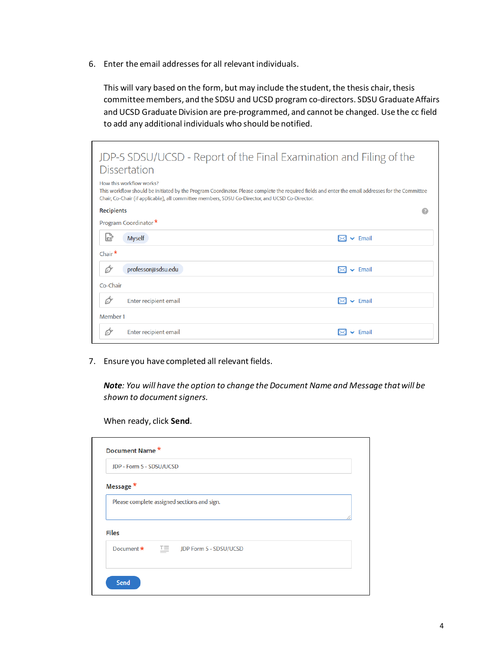6. Enter the email addresses for all relevant individuals.

This will vary based on the form, but may include the student, the thesis chair, thesis committee members, and the SDSU and UCSD program co-directors. SDSU Graduate Affairs and UCSD Graduate Division are pre-programmed, and cannot be changed. Use the cc field to add any additional individuals who should be notified.

| <b>Dissertation</b>                                                                                                         | JDP-5 SDSU/UCSD - Report of the Final Examination and Filing of the                                                                               |
|-----------------------------------------------------------------------------------------------------------------------------|---------------------------------------------------------------------------------------------------------------------------------------------------|
| How this workflow works?<br>Chair, Co-Chair (if applicable), all committee members, SDSU Co-Director, and UCSD Co-Director. | This workflow should be initiated by the Program Coordinator. Please complete the required fields and enter the email addresses for the Committee |
| <b>Recipients</b>                                                                                                           |                                                                                                                                                   |
| Program Coordinator *                                                                                                       |                                                                                                                                                   |
| C<br><b>Myself</b>                                                                                                          | $\mathsf{v}$ Email                                                                                                                                |
| Chair $*$                                                                                                                   |                                                                                                                                                   |
| professor@sdsu.edu<br>റ                                                                                                     | $\mathsf{\sim}$ Email                                                                                                                             |
| Co-Chair                                                                                                                    |                                                                                                                                                   |
| 67<br>Enter recipient email                                                                                                 | $\blacktriangleright$ Email                                                                                                                       |
| Member 1                                                                                                                    |                                                                                                                                                   |
| Enter recipient email<br>റ                                                                                                  | $\triangleright$ Email                                                                                                                            |

7. Ensure you have completed all relevant fields.

*Note: You will have the option to change the Document Name and Message that will be shown to document signers.* 

When ready, click **Send**.

| <b>JDP - Form 5 - SDSU/UCSD</b> |                                             |  |
|---------------------------------|---------------------------------------------|--|
| Message *                       |                                             |  |
|                                 | Please complete assigned sections and sign. |  |
|                                 |                                             |  |
| <b>Files</b>                    |                                             |  |
| Document *                      | $T \equiv$ JDP Form 5 - SDSU/UCSD           |  |
|                                 |                                             |  |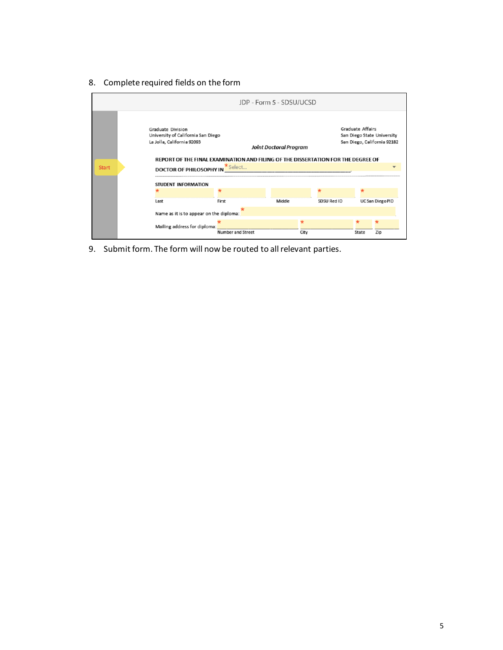8. Complete required fields on the form



9. Submit form. The form will now be routed to all relevant parties.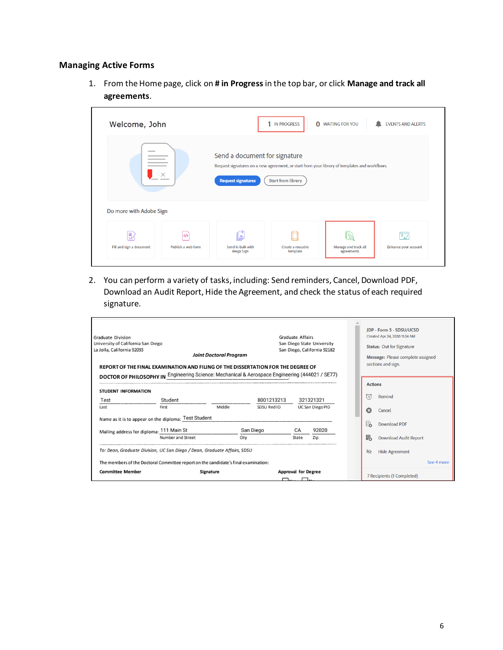### <span id="page-5-0"></span>**Managing Active Forms**

1. From the Home page, click on **# in Progress**in the top bar, or click **Manage and track all agreements**.

| Welcome, John                 |                          |                                                                                                                                                             | <b>IN PROGRESS</b><br>$\mathbf 0$ | <b>WAITING FOR YOU</b>             | <b>EVENTS AND ALERTS</b>   |
|-------------------------------|--------------------------|-------------------------------------------------------------------------------------------------------------------------------------------------------------|-----------------------------------|------------------------------------|----------------------------|
| ____                          |                          | Send a document for signature<br>Request signatures on a new agreement, or start from your library of templates and workflows.<br><b>Request signatures</b> | <b>Start from library</b>         |                                    |                            |
| Do more with Adobe Sign       |                          |                                                                                                                                                             |                                   |                                    |                            |
| Ð<br>Fill and sign a document | くり<br>Publish a web form | Send in bulk with<br>Mega Sign                                                                                                                              | Create a reusable<br>template     | Manage and track all<br>agreements | ÞZ<br>Enhance your account |

2. You can perform a variety of tasks, including: Send reminders, Cancel, Download PDF, Download an Audit Report, Hide the Agreement, and check the status of each required signature.

| <b>Graduate Division</b><br>University of California San Diego<br>La Jolla, California 92093<br>REPORT OF THE FINAL EXAMINATION AND FILING OF THE DISSERTATION FOR THE DEGREE OF<br>DOCTOR OF PHILOSOPHY IN Engineering Science: Mechanical & Aerospace Engineering (444021 / SE77) |                   | <b>Joint Doctoral Program</b> |             | <b>Graduate Affairs</b>            | San Diego State University<br>San Diego, California 92182 |    | <b>JDP - Form 5 - SDSU/UCSD</b><br>Created Apr 24, 2020 11:24 AM<br><b>Status: Out for Signature</b><br>Message: Please complete assigned<br>sections and sign. |
|-------------------------------------------------------------------------------------------------------------------------------------------------------------------------------------------------------------------------------------------------------------------------------------|-------------------|-------------------------------|-------------|------------------------------------|-----------------------------------------------------------|----|-----------------------------------------------------------------------------------------------------------------------------------------------------------------|
| <b>STUDENT INFORMATION</b>                                                                                                                                                                                                                                                          |                   |                               |             |                                    |                                                           |    | <b>Actions</b>                                                                                                                                                  |
| Test                                                                                                                                                                                                                                                                                | Student           |                               | 8001213213  |                                    | 321321321                                                 | 衍  | Remind                                                                                                                                                          |
| Last                                                                                                                                                                                                                                                                                | First             | Middle                        | SDSU Red ID |                                    | UC San Diego PID                                          | ශ  | Cancel                                                                                                                                                          |
| Name as it is to appear on the diploma: Test Student                                                                                                                                                                                                                                |                   |                               |             |                                    |                                                           | 'n | <b>Download PDF</b>                                                                                                                                             |
| Mailing address for diploma: 111 Main St                                                                                                                                                                                                                                            |                   |                               | San Diego   | CA                                 | 92020                                                     |    |                                                                                                                                                                 |
|                                                                                                                                                                                                                                                                                     | Number and Street | City                          |             | State                              | Zip                                                       | 昂  | <b>Download Audit Report</b>                                                                                                                                    |
| To: Dean, Graduate Division, UC San Diego / Dean, Graduate Affairs, SDSU                                                                                                                                                                                                            |                   |                               |             |                                    |                                                           | Ò  | <b>Hide Agreement</b>                                                                                                                                           |
| The members of the Doctoral Committee report on the candidate's final examination:                                                                                                                                                                                                  |                   |                               |             |                                    |                                                           |    | See 4 more                                                                                                                                                      |
| <b>Committee Member</b>                                                                                                                                                                                                                                                             |                   | Signature                     |             | <b>Approval for Degree</b><br>┌──1 | $\Box$                                                    |    | 7 Recipients (1 Completed)                                                                                                                                      |